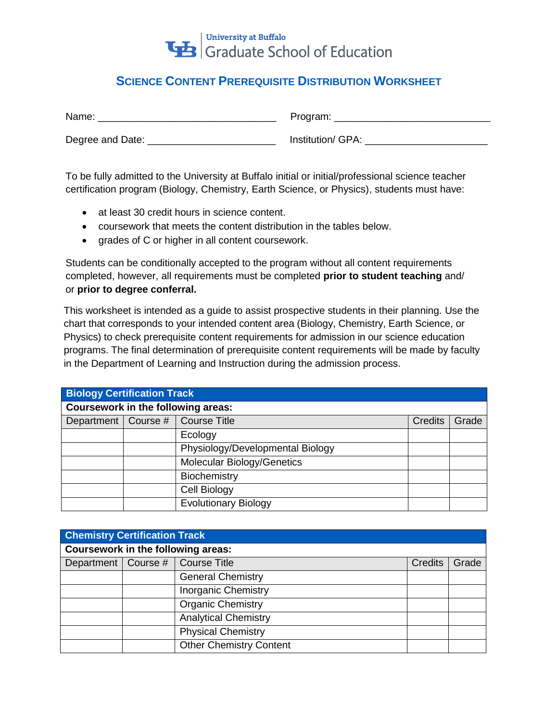

## **SCIENCE CONTENT PREREQUISITE DISTRIBUTION WORKSHEET**

| Name:            | Program:          |
|------------------|-------------------|
| Degree and Date: | Institution/ GPA: |

To be fully admitted to the University at Buffalo initial or initial/professional science teacher certification program (Biology, Chemistry, Earth Science, or Physics), students must have:

- at least 30 credit hours in science content.
- coursework that meets the content distribution in the tables below.
- grades of C or higher in all content coursework.

Students can be conditionally accepted to the program without all content requirements completed, however, all requirements must be completed **prior to student teaching** and/ or **prior to degree conferral.** 

This worksheet is intended as a guide to assist prospective students in their planning. Use the chart that corresponds to your intended content area (Biology, Chemistry, Earth Science, or Physics) to check prerequisite content requirements for admission in our science education programs. The final determination of prerequisite content requirements will be made by faculty in the Department of Learning and Instruction during the admission process.

| <b>Biology Certification Track</b>        |  |                                   |                |       |  |
|-------------------------------------------|--|-----------------------------------|----------------|-------|--|
| <b>Coursework in the following areas:</b> |  |                                   |                |       |  |
| Department   Course #                     |  | Course Title                      | <b>Credits</b> | Grade |  |
|                                           |  | Ecology                           |                |       |  |
|                                           |  | Physiology/Developmental Biology  |                |       |  |
|                                           |  | <b>Molecular Biology/Genetics</b> |                |       |  |
|                                           |  | Biochemistry                      |                |       |  |
|                                           |  | Cell Biology                      |                |       |  |
|                                           |  | <b>Evolutionary Biology</b>       |                |       |  |

| <b>Chemistry Certification Track</b> |  |                                |                |       |  |
|--------------------------------------|--|--------------------------------|----------------|-------|--|
| Coursework in the following areas:   |  |                                |                |       |  |
| Department   Course #                |  | Course Title                   | <b>Credits</b> | Grade |  |
|                                      |  | <b>General Chemistry</b>       |                |       |  |
|                                      |  | <b>Inorganic Chemistry</b>     |                |       |  |
|                                      |  | <b>Organic Chemistry</b>       |                |       |  |
|                                      |  | <b>Analytical Chemistry</b>    |                |       |  |
|                                      |  | <b>Physical Chemistry</b>      |                |       |  |
|                                      |  | <b>Other Chemistry Content</b> |                |       |  |